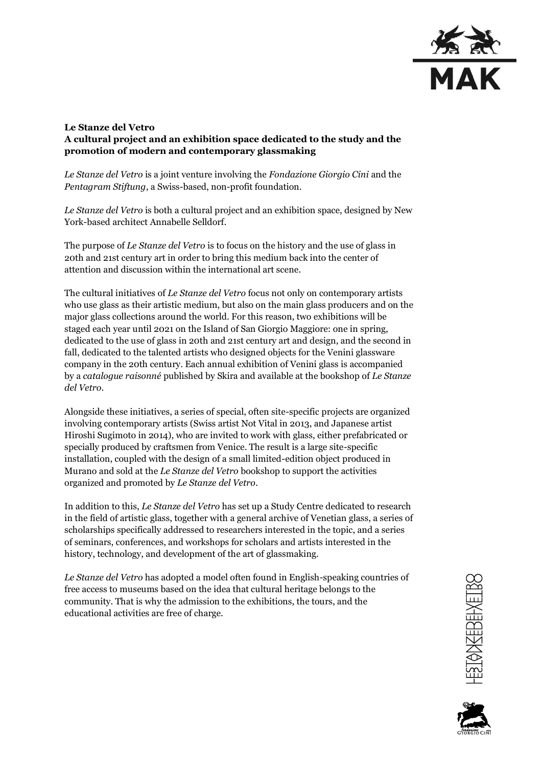

## **Le Stanze del Vetro A cultural project and an exhibition space dedicated to the study and the promotion of modern and contemporary glassmaking**

*Le Stanze del Vetro* is a joint venture involving the *Fondazione Giorgio Cini* and the *Pentagram Stiftung*, a Swiss-based, non-profit foundation.

*Le Stanze del Vetro* is both a cultural project and an exhibition space, designed by New York-based architect Annabelle Selldorf.

The purpose of *Le Stanze del Vetro* is to focus on the history and the use of glass in 20th and 21st century art in order to bring this medium back into the center of attention and discussion within the international art scene.

The cultural initiatives of *Le Stanze del Vetro* focus not only on contemporary artists who use glass as their artistic medium, but also on the main glass producers and on the major glass collections around the world. For this reason, two exhibitions will be staged each year until 2021 on the Island of San Giorgio Maggiore: one in spring, dedicated to the use of glass in 20th and 21st century art and design, and the second in fall, dedicated to the talented artists who designed objects for the Venini glassware company in the 20th century. Each annual exhibition of Venini glass is accompanied by a *catalogue raisonné* published by Skira and available at the bookshop of *Le Stanze del Vetro*.

Alongside these initiatives, a series of special, often site-specific projects are organized involving contemporary artists (Swiss artist Not Vital in 2013, and Japanese artist Hiroshi Sugimoto in 2014), who are invited to work with glass, either prefabricated or specially produced by craftsmen from Venice. The result is a large site-specific installation, coupled with the design of a small limited-edition object produced in Murano and sold at the *Le Stanze del Vetro* bookshop to support the activities organized and promoted by *Le Stanze del Vetro*.

In addition to this, *Le Stanze del Vetro* has set up a Study Centre dedicated to research in the field of artistic glass, together with a general archive of Venetian glass, a series of scholarships specifically addressed to researchers interested in the topic, and a series of seminars, conferences, and workshops for scholars and artists interested in the history, technology, and development of the art of glassmaking.

*Le Stanze del Vetro* has adopted a model often found in English-speaking countries of free access to museums based on the idea that cultural heritage belongs to the community. That is why the admission to the exhibitions, the tours, and the educational activities are free of charge.



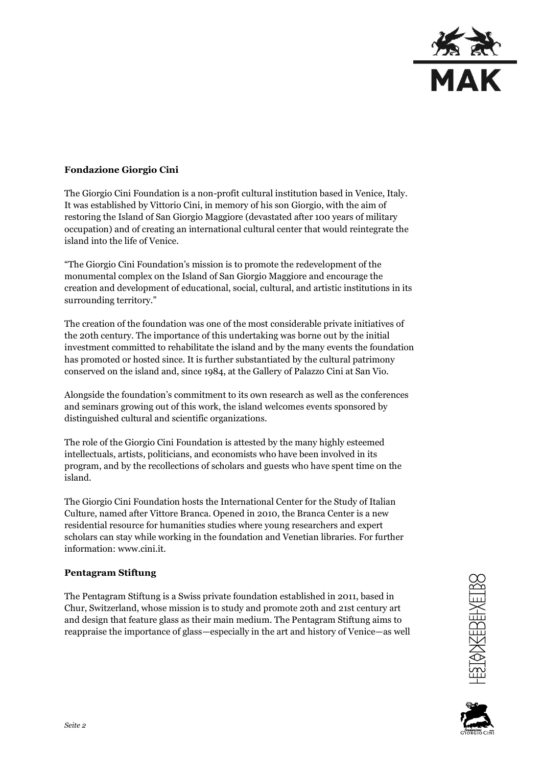

## **Fondazione Giorgio Cini**

The Giorgio Cini Foundation is a non-profit cultural institution based in Venice, Italy. It was established by Vittorio Cini, in memory of his son Giorgio, with the aim of restoring the Island of San Giorgio Maggiore (devastated after 100 years of military occupation) and of creating an international cultural center that would reintegrate the island into the life of Venice.

"The Giorgio Cini Foundation's mission is to promote the redevelopment of the monumental complex on the Island of San Giorgio Maggiore and encourage the creation and development of educational, social, cultural, and artistic institutions in its surrounding territory."

The creation of the foundation was one of the most considerable private initiatives of the 20th century. The importance of this undertaking was borne out by the initial investment committed to rehabilitate the island and by the many events the foundation has promoted or hosted since. It is further substantiated by the cultural patrimony conserved on the island and, since 1984, at the Gallery of Palazzo Cini at San Vio.

Alongside the foundation's commitment to its own research as well as the conferences and seminars growing out of this work, the island welcomes events sponsored by distinguished cultural and scientific organizations.

The role of the Giorgio Cini Foundation is attested by the many highly esteemed intellectuals, artists, politicians, and economists who have been involved in its program, and by the recollections of scholars and guests who have spent time on the island.

The Giorgio Cini Foundation hosts the International Center for the Study of Italian Culture, named after Vittore Branca. Opened in 2010, the Branca Center is a new residential resource for humanities studies where young researchers and expert scholars can stay while working in the foundation and Venetian libraries. For further information: www.cini.it.

## **Pentagram Stiftung**

The Pentagram Stiftung is a Swiss private foundation established in 2011, based in Chur, Switzerland, whose mission is to study and promote 20th and 21st century art and design that feature glass as their main medium. The Pentagram Stiftung aims to reappraise the importance of glass—especially in the art and history of Venice—as well



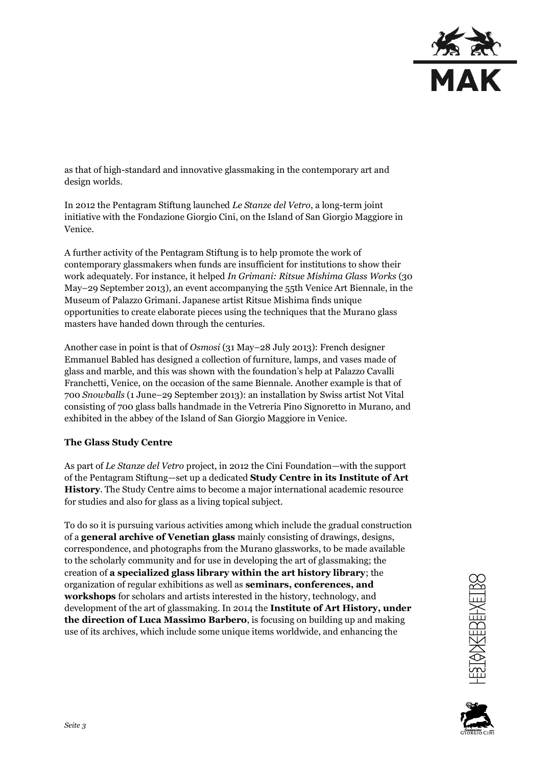

as that of high-standard and innovative glassmaking in the contemporary art and design worlds.

In 2012 the Pentagram Stiftung launched *Le Stanze del Vetro*, a long-term joint initiative with the Fondazione Giorgio Cini, on the Island of San Giorgio Maggiore in Venice.

A further activity of the Pentagram Stiftung is to help promote the work of contemporary glassmakers when funds are insufficient for institutions to show their work adequately. For instance, it helped *In Grimani: Ritsue Mishima Glass Works* (30 May–29 September 2013), an event accompanying the 55th Venice Art Biennale, in the Museum of Palazzo Grimani. Japanese artist Ritsue Mishima finds unique opportunities to create elaborate pieces using the techniques that the Murano glass masters have handed down through the centuries.

Another case in point is that of *Osmosi* (31 May–28 July 2013): French designer Emmanuel Babled has designed a collection of furniture, lamps, and vases made of glass and marble, and this was shown with the foundation's help at Palazzo Cavalli Franchetti, Venice, on the occasion of the same Biennale. Another example is that of 700 *Snowballs* (1 June–29 September 2013): an installation by Swiss artist Not Vital consisting of 700 glass balls handmade in the Vetreria Pino Signoretto in Murano, and exhibited in the abbey of the Island of San Giorgio Maggiore in Venice.

## **The Glass Study Centre**

As part of *Le Stanze del Vetro* project, in 2012 the Cini Foundation—with the support of the Pentagram Stiftung—set up a dedicated **Study Centre in its Institute of Art History**. The Study Centre aims to become a major international academic resource for studies and also for glass as a living topical subject.

To do so it is pursuing various activities among which include the gradual construction of a **general archive of Venetian glass** mainly consisting of drawings, designs, correspondence, and photographs from the Murano glassworks, to be made available to the scholarly community and for use in developing the art of glassmaking; the creation of **a specialized glass library within the art history library**; the organization of regular exhibitions as well as **seminars, conferences, and workshops** for scholars and artists interested in the history, technology, and development of the art of glassmaking. In 2014 the **Institute of Art History, under the direction of Luca Massimo Barbero**, is focusing on building up and making use of its archives, which include some unique items worldwide, and enhancing the